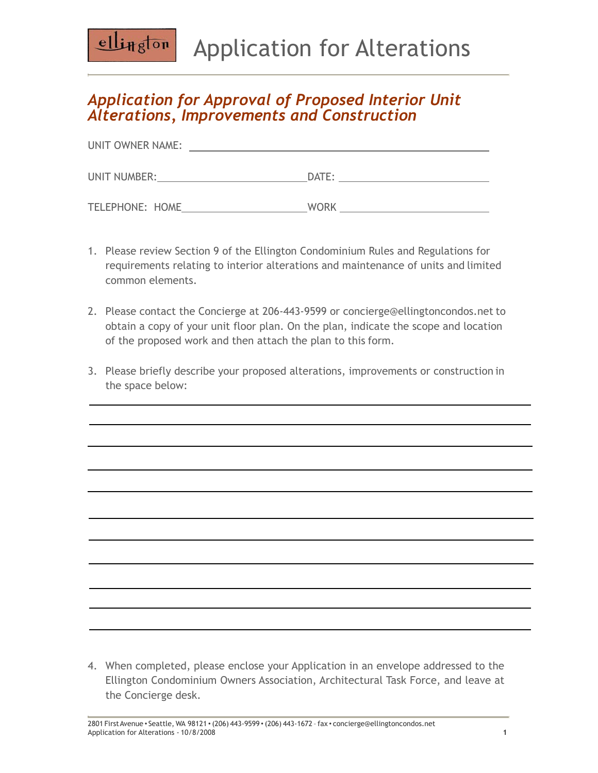## Application for Alterations

## *Application for Approval of Proposed Interior Unit Alterations, Improvements and Construction*

 $ell_{Hg}$ ton

| UNIT OWNER NAME:       |             |
|------------------------|-------------|
| UNIT NUMBER:           | DATE:       |
| <b>TELEPHONE: HOME</b> | <b>WORK</b> |

- 1. Please review Section 9 of the Ellington Condominium Rules and Regulations for requirements relating to interior alterations and maintenance of units and limited common elements.
- 2. Please contact the Concierge at 206-443-9599 or [concierge@ellingtoncondos.net](mailto:concierge@ellingtoncondos.net) to obtain a copy of your unit floor plan. On the plan, indicate the scope and location of the proposed work and then attach the plan to this form.
- 3. Please briefly describe your proposed alterations, improvements or construction in the space below:

4. When completed, please enclose your Application in an envelope addressed to the Ellington Condominium Owners Association, Architectural Task Force, and leave at the Concierge desk.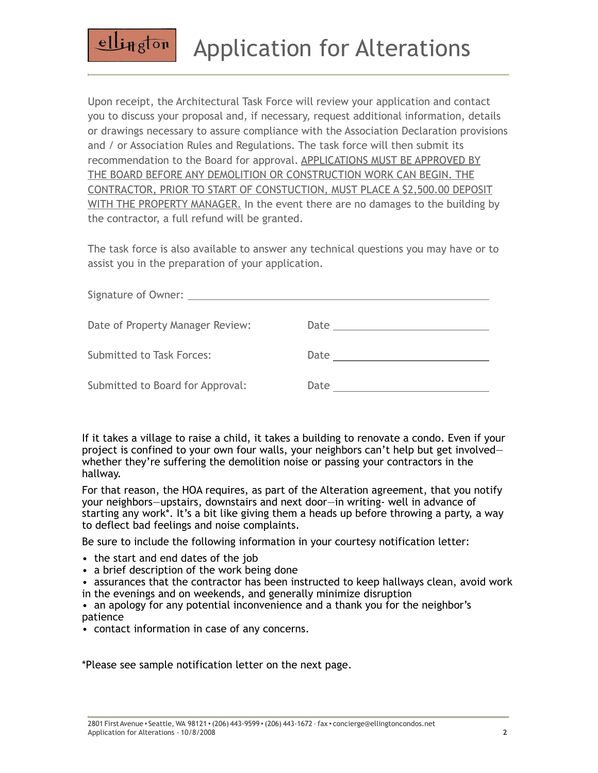## Application for Alterations

Upon receipt, the Architectural Task Force will review your application and contact you to discuss your proposal and, if necessary, request additional information, details or drawings necessary to assure compliance with the Association Declaration provisions and / or Association Rules and Regulations. The task force will then submit its recommendation to the Board for approval. APPLICATIONS MUST BE APPROVED BY THE BOARD BEFORE ANY DEMOLITION OR CONSTRUCTION WORK CAN BEGIN. THE CONTRACTOR, PRIOR TO START OF CONSTUCTION, MUST PLACE A \$2,500.00 DEPOSIT WITH THE PROPERTY MANAGER. In the event there are no damages to the building by the contractor, a full refund will be granted.

The task force is also available to answer any technical questions you may have or to assist you in the preparation of your application.

| Date of Property Manager Review: |      |
|----------------------------------|------|
| <b>Submitted to Task Forces:</b> | Date |
| Submitted to Board for Approval: | Date |

If it takes a village to raise a child, it takes a building to renovate a condo. Even if your project is confined to your own four walls, your neighbors can't help but get involved whether they're suffering the demolition noise or passing your contractors in the hallway.

For that reason, the HOA requires, as part of the Alteration agreement, that you notify your neighbors—upstairs, downstairs and next door—in writing- well in advance of starting any work\*. It's a bit like giving them a heads up before throwing a party, a way to deflect bad feelings and noise complaints.

Be sure to include the following information in your courtesy notification letter:

• the start and end dates of the job

ellington

- a brief description of the work being done
- assurances that the contractor has been instructed to keep hallways clean, avoid work
- in the evenings and on weekends, and generally minimize disruption
- an apology for any potential inconvenience and a thank you for the neighbor's patience
- contact information in case of any concerns.

\*Please see sample notification letter on the next page.